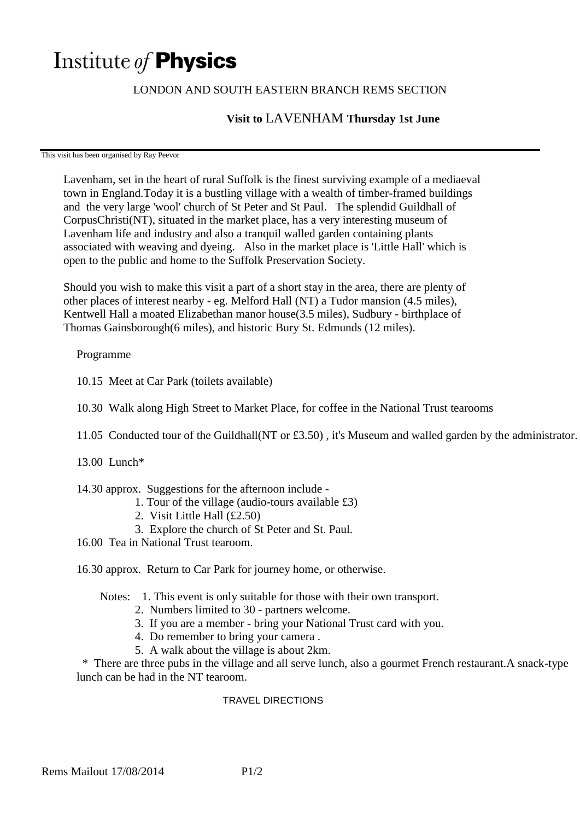# Institute of **Physics**

## LONDON AND SOUTH EASTERN BRANCH REMS SECTION

# **Visit to** LAVENHAM **Thursday 1st June**

This visit has been organised by Ray Peevor

Lavenham, set in the heart of rural Suffolk is the finest surviving example of a mediaeval town in England.Today it is a bustling village with a wealth of timber-framed buildings and the very large 'wool' church of St Peter and St Paul. The splendid Guildhall of CorpusChristi(NT), situated in the market place, has a very interesting museum of Lavenham life and industry and also a tranquil walled garden containing plants associated with weaving and dyeing. Also in the market place is 'Little Hall' which is open to the public and home to the Suffolk Preservation Society.

Should you wish to make this visit a part of a short stay in the area, there are plenty of other places of interest nearby - eg. Melford Hall (NT) a Tudor mansion (4.5 miles), Kentwell Hall a moated Elizabethan manor house(3.5 miles), Sudbury - birthplace of Thomas Gainsborough(6 miles), and historic Bury St. Edmunds (12 miles).

### Programme

10.15 Meet at Car Park (toilets available)

10.30 Walk along High Street to Market Place, for coffee in the National Trust tearooms

11.05 Conducted tour of the Guildhall(NT or £3.50) , it's Museum and walled garden by the administrator.

13.00 Lunch\*

#### 14.30 approx. Suggestions for the afternoon include -

- 1. Tour of the village (audio-tours available £3)
- 2. Visit Little Hall (£2.50)
- 3. Explore the church of St Peter and St. Paul.
- 16.00 Tea in National Trust tearoom.
- 16.30 approx. Return to Car Park for journey home, or otherwise.
	- Notes: 1. This event is only suitable for those with their own transport.
		- 2. Numbers limited to 30 partners welcome.
		- 3. If you are a member bring your National Trust card with you.
		- 4. Do remember to bring your camera .
		- 5. A walk about the village is about 2km.

 \* There are three pubs in the village and all serve lunch, also a gourmet French restaurant.A snack-type lunch can be had in the NT tearoom.

#### TRAVEL DIRECTIONS